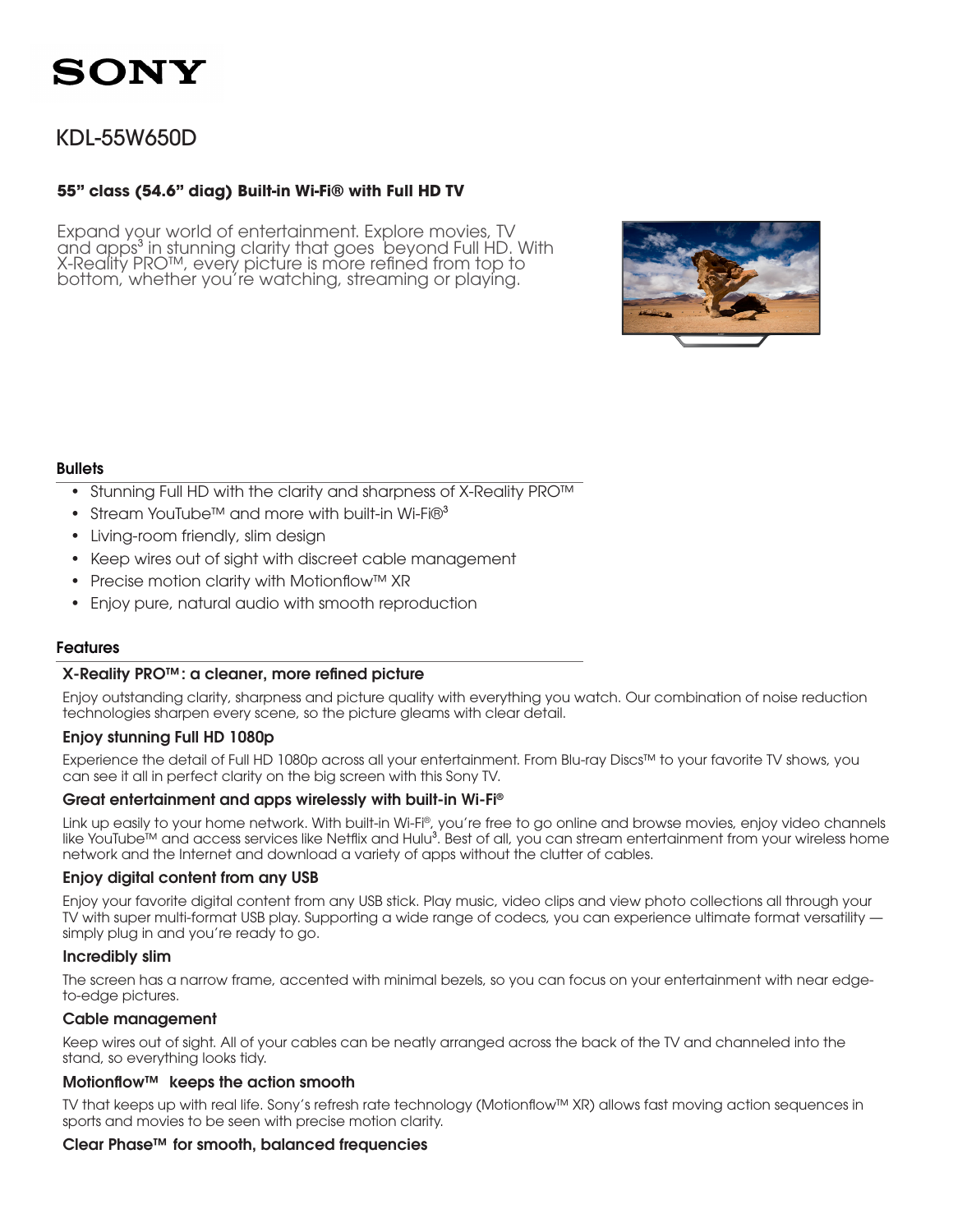### KDL-55W650D

#### **55" class (54.6" diag) Built-in Wi-Fi® with Full HD TV**

Expand your world of entertainment. Explore movies, TV and apps<sup>3</sup> in stunning clarity that goes beyond Full HD. With X-Reality PRO™, every picture is more refined from top to bottom, whether you're watching, streaming or playing.



#### **Bullets**

- Stunning Full HD with the clarity and sharpness of X-Reality PRO™
- Stream YouTube™ and more with built-in Wi-Fi $@$ <sup>3</sup>
- Living-room friendly, slim design
- Keep wires out of sight with discreet cable management
- • Precise motion clarity with Motionflow™ XR
- Enjoy pure, natural audio with smooth reproduction

#### Features

#### X-Reality PRO™: a cleaner, more refined picture

Enjoy outstanding clarity, sharpness and picture quality with everything you watch. Our combination of noise reduction technologies sharpen every scene, so the picture gleams with clear detail.

#### Enjoy stunning Full HD 1080p

Experience the detail of Full HD 1080p across all your entertainment. From Blu-ray Discs™ to your favorite TV shows, you can see it all in perfect clarity on the big screen with this Sony TV.

#### Great entertainment and apps wirelessly with built-in Wi-Fi®

Link up easily to your home network. With built-in Wi-Fi®, you're free to go online and browse movies, enjoy video channels like YouTube™ and access services like Netflix and Hulu<sup>3</sup>. Best of all, you can stream entertainment from your wireless home network and the Internet and download a variety of apps without the clutter of cables.

#### Enjoy digital content from any USB

Enjoy your favorite digital content from any USB stick. Play music, video clips and view photo collections all through your TV with super multi-format USB play. Supporting a wide range of codecs, you can experience ultimate format versatility simply plug in and you're ready to go.

#### Incredibly slim

The screen has a narrow frame, accented with minimal bezels, so you can focus on your entertainment with near edgeto-edge pictures.

#### Cable management

Keep wires out of sight. All of your cables can be neatly arranged across the back of the TV and channeled into the stand, so everything looks tidy.

#### Motionflow™ keeps the action smooth

TV that keeps up with real life. Sony's refresh rate technology (Motionflow™ XR) allows fast moving action sequences in sports and movies to be seen with precise motion clarity.

#### Clear Phase™ for smooth, balanced frequencies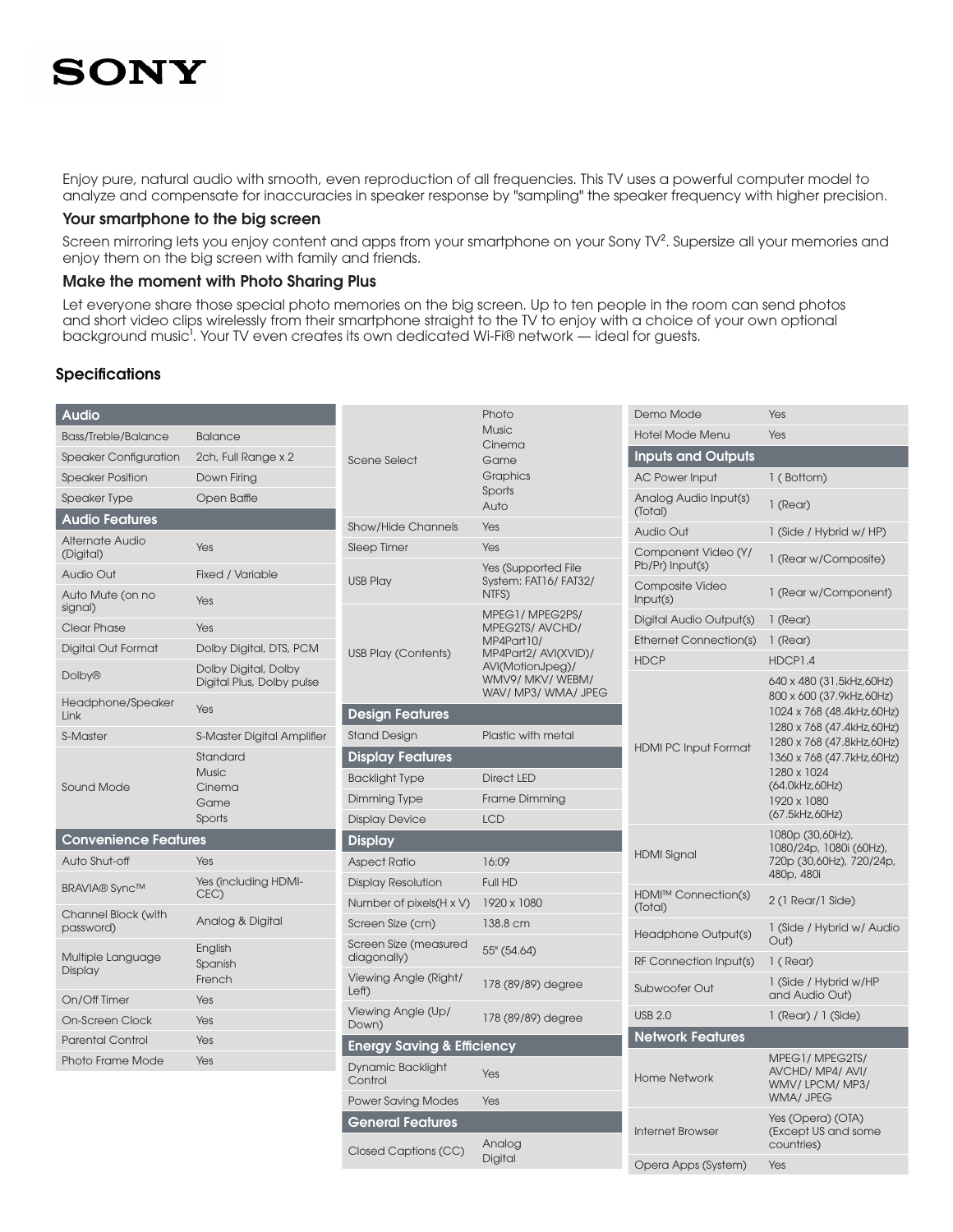Enjoy pure, natural audio with smooth, even reproduction of all frequencies. This TV uses a powerful computer model to analyze and compensate for inaccuracies in speaker response by "sampling" the speaker frequency with higher precision.

#### Your smartphone to the big screen

Screen mirroring lets you enjoy content and apps from your smartphone on your Sony TV<sup>2</sup>. Supersize all your memories and enjoy them on the big screen with family and friends.

#### Make the moment with Photo Sharing Plus

Let everyone share those special photo memories on the big screen. Up to ten people in the room can send photos and short video clips wirelessly from their smartphone straight to the TV to enjoy with a choice of your own optional background music<sup>1</sup>. Your TV even creates its own dedicated Wi-Fi® network — ideal for guests.

#### **Specifications**

| <b>Audio</b>                     |                              |                                       | Photo                                                                    | Demo Mode                              | Yes                                                                                                                                                                                |
|----------------------------------|------------------------------|---------------------------------------|--------------------------------------------------------------------------|----------------------------------------|------------------------------------------------------------------------------------------------------------------------------------------------------------------------------------|
| <b>Bass/Treble/Balance</b>       | <b>Balance</b>               |                                       | <b>Music</b><br>Cinema                                                   | <b>Hotel Mode Menu</b>                 | Yes                                                                                                                                                                                |
| <b>Speaker Configuration</b>     | 2ch, Full Range x 2          | Scene Select<br>Game                  |                                                                          | <b>Inputs and Outputs</b>              |                                                                                                                                                                                    |
| <b>Speaker Position</b>          | Down Firing                  |                                       | Graphics                                                                 | <b>AC Power Input</b>                  | 1 (Bottom)                                                                                                                                                                         |
| <b>Speaker Type</b>              | Open Baffle                  |                                       | Sports<br>Auto                                                           | Analog Audio Input(s)<br>(Total)       | 1 (Rear)                                                                                                                                                                           |
| <b>Audio Features</b>            |                              | <b>Show/Hide Channels</b>             | Yes                                                                      | <b>Audio Out</b>                       | 1 (Side / Hybrid w/ HP)                                                                                                                                                            |
| Alternate Audio<br>(Digital)     | Yes                          | Sleep Timer                           | Yes<br>Yes (Supported File                                               | Component Video (Y/<br>Pb/Pr) Input(s) | 1 (Rear w/Composite)                                                                                                                                                               |
| <b>Audio Out</b>                 | Fixed / Variable             | <b>USB Play</b>                       | System: FAT16/FAT32/                                                     | Composite Video                        |                                                                                                                                                                                    |
| Auto Mute (on no<br>signal)      | Yes                          |                                       | NTFS)<br>MPEG1/MPEG2PS/                                                  | Input(s)                               | 1 (Rear w/Component)                                                                                                                                                               |
| Clear Phase                      | Yes                          |                                       | MPEG2TS/AVCHD/<br>MP4Part10/<br>MP4Part2/ AVI(XVID)/<br>AVI(MotionJpeg)/ | Digital Audio Output(s)                | 1 (Rear)                                                                                                                                                                           |
| Digital Out Format               | Dolby Digital, DTS, PCM      | <b>USB Play (Contents)</b>            |                                                                          | Ethernet Connection(s)                 | 1 (Rear)                                                                                                                                                                           |
| <b>Dolby®</b>                    | Dolby Digital, Dolby         |                                       |                                                                          | <b>HDCP</b>                            | HDCP1.4                                                                                                                                                                            |
|                                  | Digital Plus, Dolby pulse    |                                       | WMV9/ MKV/ WEBM/<br>WAV/ MP3/ WMA/ JPEG                                  |                                        | 640 x 480 (31.5kHz,60Hz)<br>800 x 600 (37.9kHz,60Hz)                                                                                                                               |
| Headphone/Speaker<br>Link        | Yes                          | <b>Design Features</b>                |                                                                          |                                        | 1024 x 768 (48.4kHz,60Hz)<br>1280 x 768 (47.4kHz,60Hz)<br>1280 x 768 (47.8kHz,60Hz)<br>1360 x 768 (47.7kHz,60Hz)<br>1280 x 1024<br>(64.0kHz,60Hz)<br>1920 x 1080<br>(67.5kHz,60Hz) |
| S-Master                         | S-Master Digital Amplifier   | <b>Stand Design</b>                   | Plastic with metal                                                       |                                        |                                                                                                                                                                                    |
| Sound Mode                       | Standard                     | <b>Display Features</b>               |                                                                          | <b>HDMI PC Input Format</b>            |                                                                                                                                                                                    |
|                                  | <b>Music</b>                 | <b>Backlight Type</b>                 | <b>Direct LED</b>                                                        |                                        |                                                                                                                                                                                    |
|                                  | Cinema<br>Game               | Dimming Type                          | Frame Dimming                                                            |                                        |                                                                                                                                                                                    |
|                                  | Sports                       | <b>Display Device</b>                 | <b>LCD</b>                                                               |                                        |                                                                                                                                                                                    |
| <b>Convenience Features</b>      |                              | <b>Display</b>                        |                                                                          |                                        | 1080p (30,60Hz),                                                                                                                                                                   |
| Auto Shut-off                    | Yes                          | <b>Aspect Ratio</b>                   | 16:09                                                                    | <b>HDMI Signal</b>                     | 1080/24p, 1080i (60Hz),<br>720p (30,60Hz), 720/24p,<br>480p, 480i                                                                                                                  |
| <b>BRAVIA®</b> Sync™             | Yes (including HDMI-         | <b>Display Resolution</b>             | Full HD                                                                  |                                        |                                                                                                                                                                                    |
|                                  | CEC)                         | Number of pixels (H x V)              | 1920 x 1080                                                              | <b>HDMI™ Connection(s)</b><br>(Total)  | 2 (1 Rear/1 Side)                                                                                                                                                                  |
| Channel Block (with<br>password) | Analog & Digital             | Screen Size (cm)                      | 138.8 cm                                                                 | Headphone Output(s)                    | 1 (Side / Hybrid w/ Audio<br>Out)                                                                                                                                                  |
| Multiple Language                | English<br>Spanish<br>French | Screen Size (measured<br>diagonally)  | 55" (54.64)                                                              | RF Connection Input(s)                 | 1 (Rear)                                                                                                                                                                           |
| Display                          |                              | Viewing Angle (Right/                 | 178 (89/89) degree                                                       |                                        | 1 (Side / Hybrid w/HP                                                                                                                                                              |
| On/Off Timer                     | Yes                          | Left)                                 |                                                                          | Subwoofer Out                          | and Audio Out)                                                                                                                                                                     |
| On-Screen Clock                  | Yes                          | Viewing Angle (Up/<br>Down)           | 178 (89/89) degree                                                       | <b>USB 2.0</b>                         | $1$ (Rear) $/ 1$ (Side)                                                                                                                                                            |
| <b>Parental Control</b>          | Yes                          | <b>Energy Saving &amp; Efficiency</b> |                                                                          | <b>Network Features</b>                |                                                                                                                                                                                    |
| Photo Frame Mode                 | Yes                          | <b>Dynamic Backlight</b><br>Control   | Yes                                                                      | <b>Home Network</b>                    | MPEG1/MPEG2TS/<br>AVCHD/MP4/AVI/<br>WMV/LPCM/MP3/<br>WMA/ JPEG                                                                                                                     |
|                                  |                              | <b>Power Saving Modes</b>             | Yes                                                                      |                                        |                                                                                                                                                                                    |
|                                  |                              | <b>General Features</b>               |                                                                          | <b>Internet Browser</b>                | Yes (Opera) (OTA)                                                                                                                                                                  |
|                                  |                              | Closed Captions (CC)                  | Analog<br>Digital                                                        |                                        | (Except US and some<br>countries)                                                                                                                                                  |
|                                  |                              |                                       |                                                                          | Opera Apps (System)                    | Yes                                                                                                                                                                                |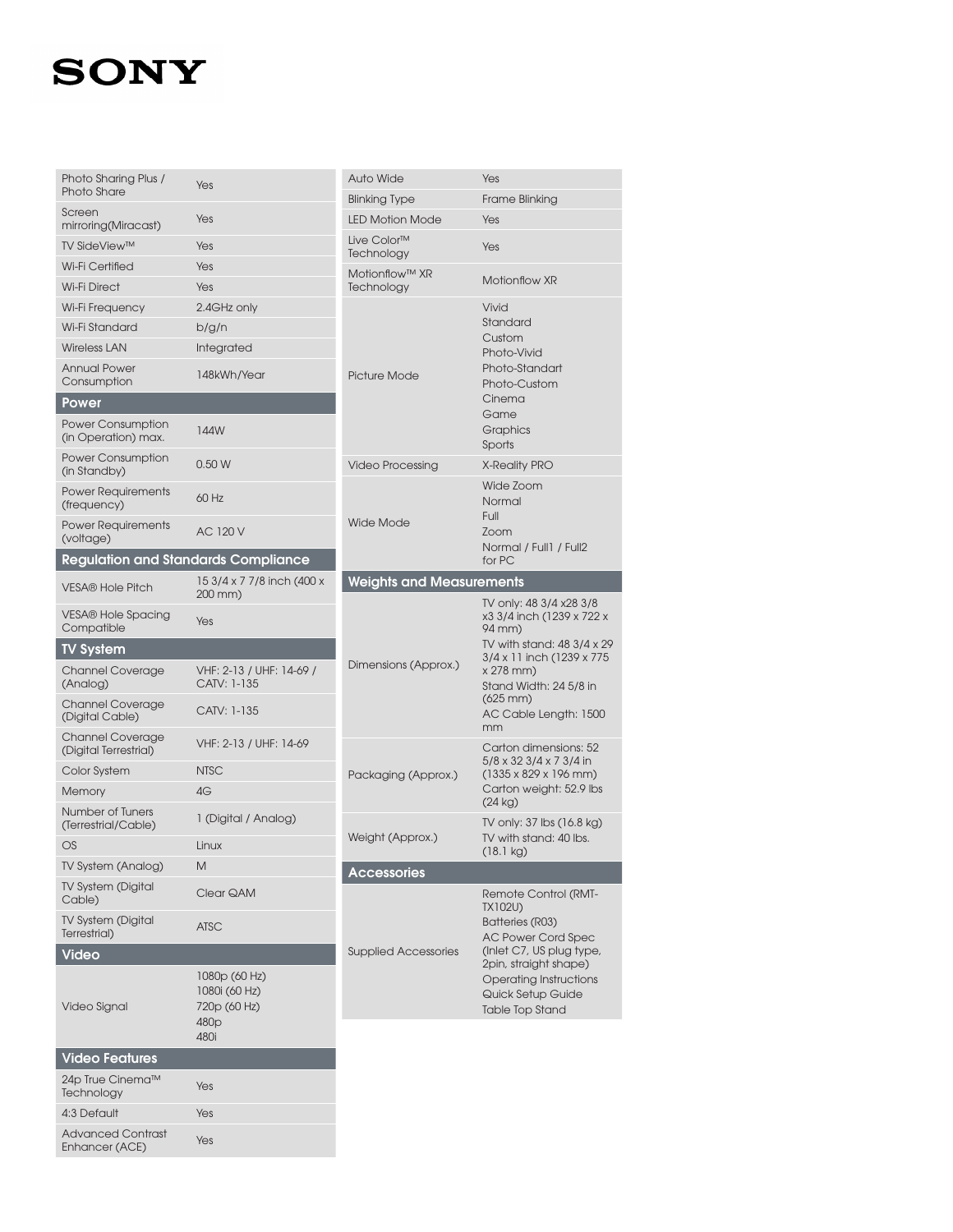| Photo Sharing Plus /                            | Yes                                                                | <b>Auto Wide</b>                      | Yes                                                                                                                                                                                                                      |  |
|-------------------------------------------------|--------------------------------------------------------------------|---------------------------------------|--------------------------------------------------------------------------------------------------------------------------------------------------------------------------------------------------------------------------|--|
| Photo Share                                     |                                                                    | <b>Blinking Type</b>                  | Frame Blinking                                                                                                                                                                                                           |  |
| Screen<br>mirroring(Miracast)                   | Yes                                                                | <b>LED Motion Mode</b>                | Yes                                                                                                                                                                                                                      |  |
| <b>TV SideView™</b>                             | Yes                                                                | Live Color <sup>™</sup><br>Technology | Yes                                                                                                                                                                                                                      |  |
| Wi-Fi Certified                                 | Yes                                                                | Motionflow™ XR                        |                                                                                                                                                                                                                          |  |
| <b>Wi-Fi Direct</b>                             | Yes                                                                | Technology                            | Motionflow XR                                                                                                                                                                                                            |  |
| Wi-Fi Frequency                                 | 2.4GHz only                                                        |                                       | Vivid                                                                                                                                                                                                                    |  |
| Wi-Fi Standard                                  | b/g/n                                                              |                                       | Standard<br>Custom                                                                                                                                                                                                       |  |
| <b>Wireless LAN</b>                             | Integrated                                                         |                                       | Photo-Vivid<br>Photo-Standart<br>Photo-Custom                                                                                                                                                                            |  |
| <b>Annual Power</b><br>Consumption              | 148kWh/Year                                                        | Picture Mode                          |                                                                                                                                                                                                                          |  |
| <b>Power</b>                                    |                                                                    |                                       | Cinema<br>Game<br>Graphics<br>Sports                                                                                                                                                                                     |  |
| <b>Power Consumption</b><br>(in Operation) max. | 144W                                                               |                                       |                                                                                                                                                                                                                          |  |
| <b>Power Consumption</b><br>(in Standby)        | 0.50W                                                              | <b>Video Processing</b>               | <b>X-Reality PRO</b>                                                                                                                                                                                                     |  |
| <b>Power Requirements</b><br>(frequency)        | 60 Hz                                                              |                                       | Wide Zoom<br>Normal                                                                                                                                                                                                      |  |
| <b>Power Requirements</b><br>(voltage)          | <b>Wide Mode</b><br><b>AC 120 V</b>                                |                                       | Full<br>Zoom<br>Normal / Full1 / Full2                                                                                                                                                                                   |  |
| <b>Regulation and Standards Compliance</b>      |                                                                    |                                       | for PC                                                                                                                                                                                                                   |  |
| <b>VESA® Hole Pitch</b>                         | 15 3/4 x 7 7/8 inch (400 x<br>200 mm)                              | <b>Weights and Measurements</b>       |                                                                                                                                                                                                                          |  |
| <b>VESA® Hole Spacing</b><br>Compatible         | Yes                                                                |                                       | TV only: 48 3/4 x28 3/8<br>x3 3/4 inch (1239 x 722 x<br>94 mm)<br>TV with stand: 48 3/4 x 29<br>3/4 x 11 inch (1239 x 775)<br>x 278 mm)<br>Stand Width: 24 5/8 in<br>$(625 \, \text{mm})$<br>AC Cable Length: 1500<br>mm |  |
| <b>TV System</b>                                |                                                                    |                                       |                                                                                                                                                                                                                          |  |
| <b>Channel Coverage</b><br>(Analog)             | VHF: 2-13 / UHF: 14-69 /<br>CATV: 1-135                            | Dimensions (Approx.)                  |                                                                                                                                                                                                                          |  |
| Channel Coverage<br>(Digital Cable)             | CATV: 1-135                                                        |                                       |                                                                                                                                                                                                                          |  |
| Channel Coverage<br>(Digital Terrestrial)       | VHF: 2-13 / UHF: 14-69                                             |                                       | Carton dimensions: 52<br>5/8 x 32 3/4 x 7 3/4 in                                                                                                                                                                         |  |
| Color System                                    | <b>NTSC</b>                                                        | Packaging (Approx.)                   | $(1335 \times 829 \times 196 \text{ mm})$<br>Carton weight: 52.9 lbs<br>(24 kg)                                                                                                                                          |  |
| Memory                                          | 4G                                                                 |                                       |                                                                                                                                                                                                                          |  |
| Number of Tuners<br>(Terrestrial/Cable)         | 1 (Digital / Analog)                                               |                                       | TV only: 37 lbs (16.8 kg)                                                                                                                                                                                                |  |
| OS                                              | Linux                                                              | Weight (Approx.)                      | TV with stand: 40 lbs.<br>$(18.1 \text{ kg})$                                                                                                                                                                            |  |
| TV System (Analog)                              | M                                                                  | <b>Accessories</b>                    |                                                                                                                                                                                                                          |  |
| TV System (Digital<br>Cable)                    | Clear QAM                                                          |                                       | Remote Control (RMT-<br>TX102U)                                                                                                                                                                                          |  |
| TV System (Digital<br>Terrestrial)              | <b>ATSC</b>                                                        |                                       | Batteries (R03)<br><b>AC Power Cord Spec</b><br>(Inlet C7, US plug type,<br>2pin, straight shape)<br><b>Operating Instructions</b><br>Quick Setup Guide<br><b>Table Top Stand</b>                                        |  |
| <b>Video</b>                                    |                                                                    | <b>Supplied Accessories</b>           |                                                                                                                                                                                                                          |  |
| Video Signal                                    | 1080p (60 Hz)<br>1080i (60 Hz)<br>720p (60 Hz)<br>480 <sub>p</sub> |                                       |                                                                                                                                                                                                                          |  |
| <b>Video Features</b>                           | 480i                                                               |                                       |                                                                                                                                                                                                                          |  |
| 24p True Cinema™                                |                                                                    |                                       |                                                                                                                                                                                                                          |  |
| Technology                                      | Yes                                                                |                                       |                                                                                                                                                                                                                          |  |
| 4:3 Default                                     | Yes                                                                |                                       |                                                                                                                                                                                                                          |  |
| <b>Advanced Contrast</b><br>Enhancer (ACE)      | Yes                                                                |                                       |                                                                                                                                                                                                                          |  |